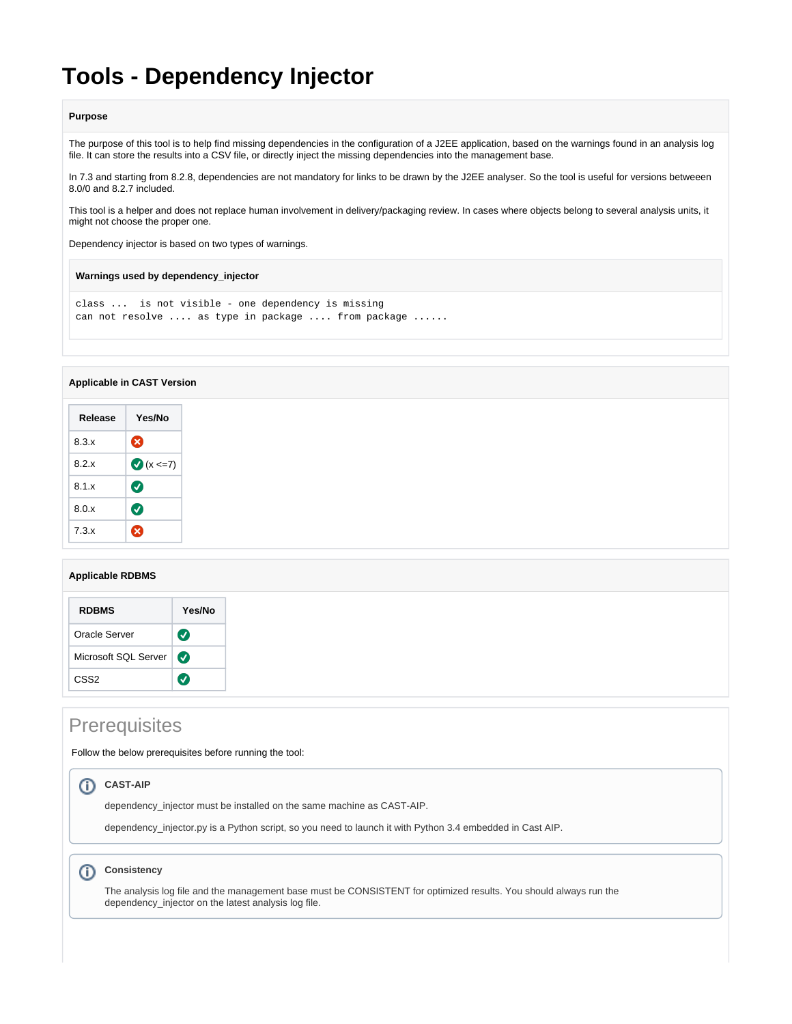# **Tools - Dependency Injector**

#### **Purpose**

The purpose of this tool is to help find missing dependencies in the configuration of a J2EE application, based on the warnings found in an analysis log file. It can store the results into a CSV file, or directly inject the missing dependencies into the management base.

In 7.3 and starting from 8.2.8, dependencies are not mandatory for links to be drawn by the J2EE analyser. So the tool is useful for versions betweeen 8.0/0 and 8.2.7 included.

This tool is a helper and does not replace human involvement in delivery/packaging review. In cases where objects belong to several analysis units, it might not choose the proper one.

Dependency injector is based on two types of warnings.

**Warnings used by dependency\_injector**

```
class ... is not visible - one dependency is missing
can not resolve .... as type in package .... from package ......
```
### **Applicable in CAST Version**

| Release | Yes/No                |
|---------|-----------------------|
| 8.3.x   | ☎                     |
| 8.2 x   | $x \le -7$            |
| 8.1.x   | $\boldsymbol{\sigma}$ |
| 8.0.x   | $\bm{\bm{\sigma}}$    |
| 7.3x    | X)                    |

### **Applicable RDBMS**

| <b>RDBMS</b>         | Yes/No                    |
|----------------------|---------------------------|
| Oracle Server        | $\left(\checkmark\right)$ |
| Microsoft SQL Server |                           |
| CSS <sub>2</sub>     | (√                        |

## **Prerequisites**

Follow the below prerequisites before running the tool:

### **CAST-AIP**

dependency\_injector must be installed on the same machine as CAST-AIP.

dependency\_injector.py is a Python script, so you need to launch it with Python 3.4 embedded in Cast AIP.

#### **Consistency**  $\circ$

The analysis log file and the management base must be CONSISTENT for optimized results. You should always run the dependency\_injector on the latest analysis log file.

⋒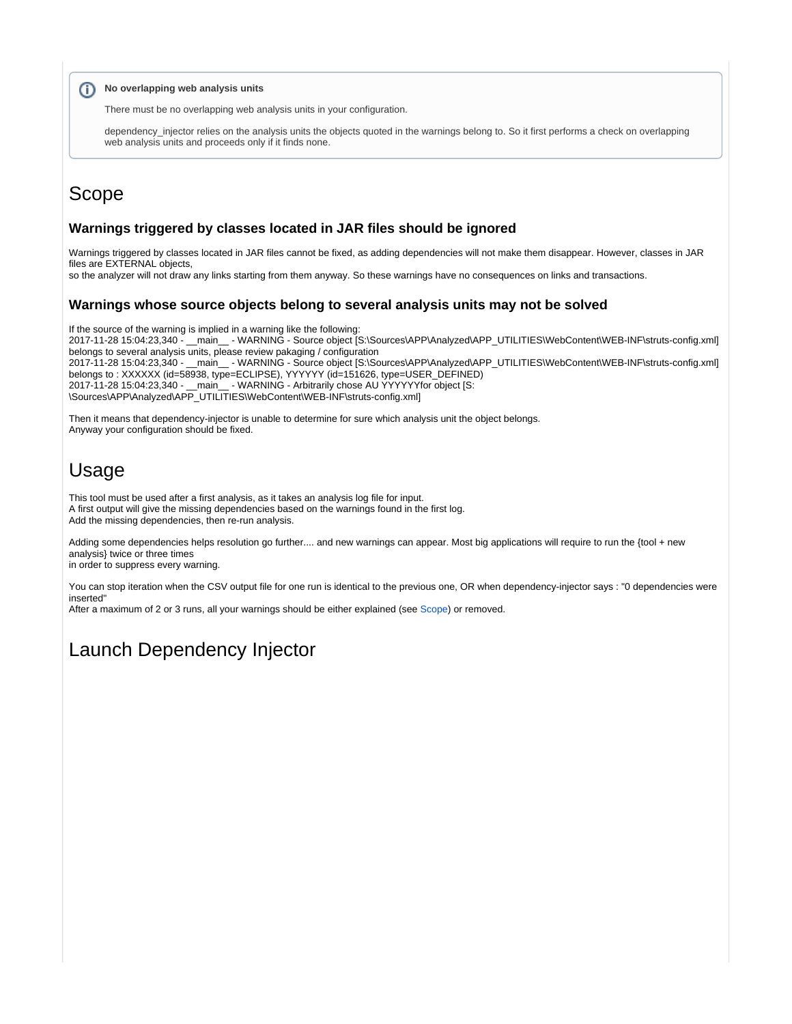### **(i)** No overlapping web analysis units

There must be no overlapping web analysis units in your configuration.

dependency\_injector relies on the analysis units the objects quoted in the warnings belong to. So it first performs a check on overlapping web analysis units and proceeds only if it finds none.

## <span id="page-1-0"></span>Scope

### **Warnings triggered by classes located in JAR files should be ignored**

Warnings triggered by classes located in JAR files cannot be fixed, as adding dependencies will not make them disappear. However, classes in JAR files are **EXTERNAL** objects.

so the analyzer will not draw any links starting from them anyway. So these warnings have no consequences on links and transactions.

### **Warnings whose source objects belong to several analysis units may not be solved**

If the source of the warning is implied in a warning like the following: 2017-11-28 15:04:23,340 - \_\_main\_\_ - WARNING - Source object [S:\Sources\APP\Analyzed\APP\_UTILITIES\WebContent\WEB-INF\struts-config.xml] belongs to several analysis units, please review pakaging / configuration

2017-11-28 15:04:23,340 - \_\_main\_\_ - WARNING - Source object [S:\Sources\APP\Analyzed\APP\_UTILITIES\WebContent\WEB-INF\struts-config.xml] belongs to : XXXXXX (id=58938, type=ECLIPSE), YYYYYY (id=151626, type=USER\_DEFINED) 2017-11-28 15:04:23,340 - \_\_main\_\_ - WARNING - Arbitrarily chose AU YYYYYYfor object [S: \Sources\APP\Analyzed\APP\_UTILITIES\WebContent\WEB-INF\struts-config.xml]

Then it means that dependency-injector is unable to determine for sure which analysis unit the object belongs. Anyway your configuration should be fixed.

## Usage

This tool must be used after a first analysis, as it takes an analysis log file for input. A first output will give the missing dependencies based on the warnings found in the first log. Add the missing dependencies, then re-run analysis.

Adding some dependencies helps resolution go further.... and new warnings can appear. Most big applications will require to run the {tool + new analysis} twice or three times

in order to suppress every warning.

You can stop iteration when the CSV output file for one run is identical to the previous one, OR when dependency-injector says : "0 dependencies were inserted"

After a maximum of 2 or 3 runs, all your warnings should be either explained (see [Scope](#page-1-0)) or removed.

## Launch Dependency Injector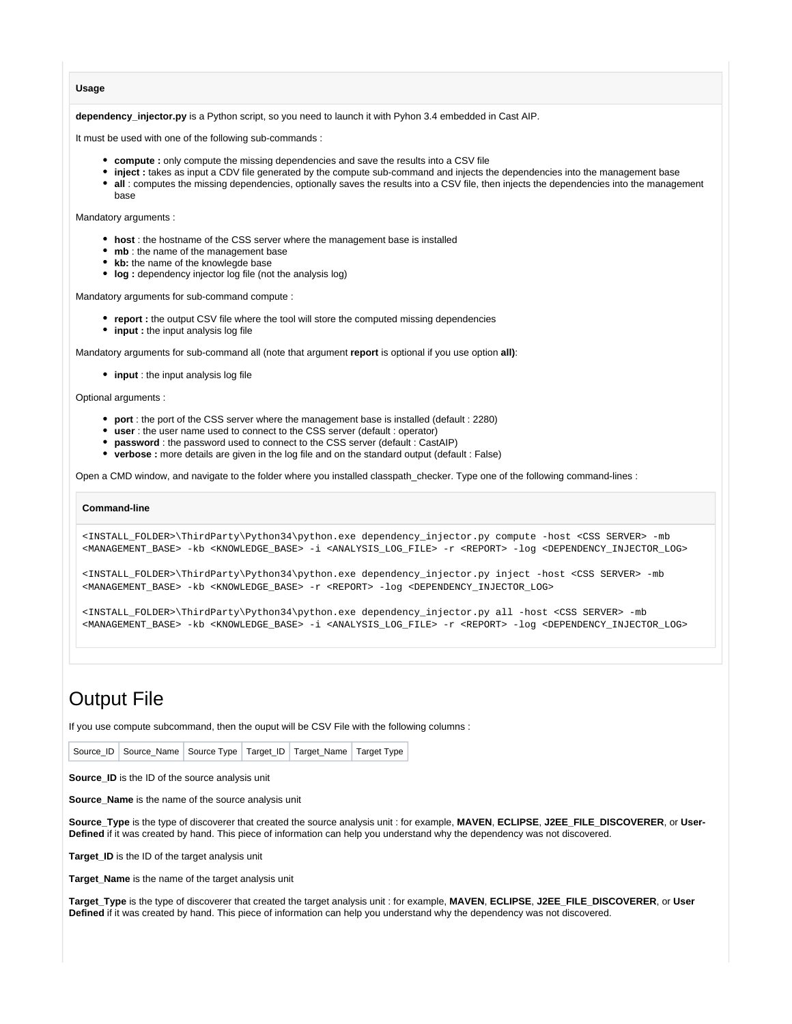**Usage**

**dependency\_injector.py** is a Python script, so you need to launch it with Pyhon 3.4 embedded in Cast AIP.

It must be used with one of the following sub-commands :

- **compute :** only compute the missing dependencies and save the results into a CSV file
- **inject :** takes as input a CDV file generated by the compute sub-command and injects the dependencies into the management base
- **all** : computes the missing dependencies, optionally saves the results into a CSV file, then injects the dependencies into the management base

Mandatory arguments :

- **host** : the hostname of the CSS server where the management base is installed
- mb : the name of the management base
- kb: the name of the knowlegde base
- **log** : dependency injector log file (not the analysis log)

Mandatory arguments for sub-command compute :

- **report :** the output CSV file where the tool will store the computed missing dependencies
- **input :** the input analysis log file

Mandatory arguments for sub-command all (note that argument **report** is optional if you use option **all)**:

**input** : the input analysis log file

Optional arguments :

- **port** : the port of the CSS server where the management base is installed (default : 2280)
- **user** : the user name used to connect to the CSS server (default : operator)
- **password** : the password used to connect to the CSS server (default : CastAIP)
- **verbose :** more details are given in the log file and on the standard output (default : False)

Open a CMD window, and navigate to the folder where you installed classpath\_checker. Type one of the following command-lines :

#### **Command-line**

<INSTALL\_FOLDER>\ThirdParty\Python34\python.exe dependency\_injector.py compute -host <CSS SERVER> -mb <MANAGEMENT\_BASE> -kb <KNOWLEDGE\_BASE> -i <ANALYSIS\_LOG\_FILE> -r <REPORT> -log <DEPENDENCY\_INJECTOR\_LOG>

<INSTALL\_FOLDER>\ThirdParty\Python34\python.exe dependency\_injector.py inject -host <CSS SERVER> -mb <MANAGEMENT\_BASE> -kb <KNOWLEDGE\_BASE> -r <REPORT> -log <DEPENDENCY\_INJECTOR\_LOG>

<INSTALL\_FOLDER>\ThirdParty\Python34\python.exe dependency\_injector.py all -host <CSS SERVER> -mb <MANAGEMENT\_BASE> -kb <KNOWLEDGE\_BASE> -i <ANALYSIS\_LOG\_FILE> -r <REPORT> -log <DEPENDENCY\_INJECTOR\_LOG>

## Output File

If you use compute subcommand, then the ouput will be CSV File with the following columns :

**Source\_ID** is the ID of the source analysis unit

**Source\_Name** is the name of the source analysis unit

**Source\_Type** is the type of discoverer that created the source analysis unit : for example, **MAVEN**, **ECLIPSE**, **J2EE\_FILE\_DISCOVERER**, or **User-Defined** if it was created by hand. This piece of information can help you understand why the dependency was not discovered.

**Target\_ID** is the ID of the target analysis unit

**Target\_Name** is the name of the target analysis unit

**Target\_Type** is the type of discoverer that created the target analysis unit : for example, **MAVEN**, **ECLIPSE**, **J2EE\_FILE\_DISCOVERER**, or **User Defined** if it was created by hand. This piece of information can help you understand why the dependency was not discovered.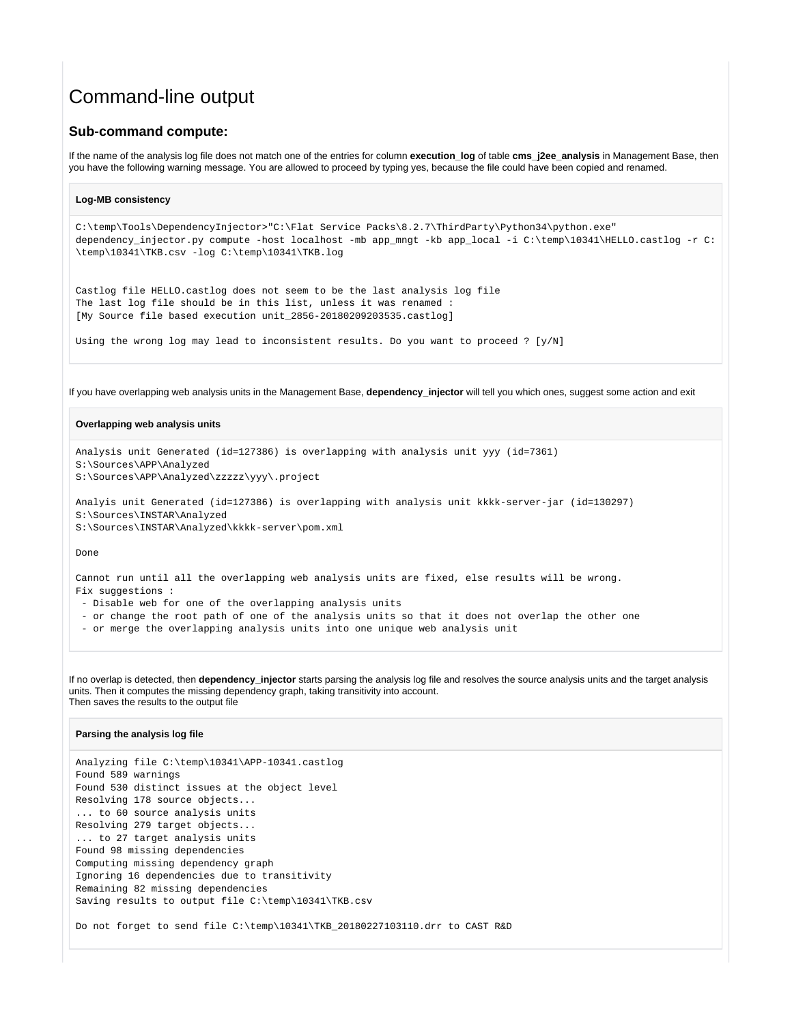## Command-line output

### **Sub-command compute:**

If the name of the analysis log file does not match one of the entries for column **execution\_log** of table **cms\_j2ee\_analysis** in Management Base, then you have the following warning message. You are allowed to proceed by typing yes, because the file could have been copied and renamed.

```
Log-MB consistency
C:\temp\Tools\DependencyInjector>"C:\Flat Service Packs\8.2.7\ThirdParty\Python34\python.exe" 
dependency_injector.py compute -host localhost -mb app_mngt -kb app_local -i C:\temp\10341\HELLO.castlog -r C:
\temp\10341\TKB.csv -log C:\temp\10341\TKB.log
Castlog file HELLO.castlog does not seem to be the last analysis log file
The last log file should be in this list, unless it was renamed :
[My Source file based execution unit_2856-20180209203535.castlog]
Using the wrong log may lead to inconsistent results. Do you want to proceed ? [y/N]
```
If you have overlapping web analysis units in the Management Base, **dependency\_injector** will tell you which ones, suggest some action and exit

### **Overlapping web analysis units**

```
Analysis unit Generated (id=127386) is overlapping with analysis unit yyy (id=7361)
S:\Sources\APP\Analyzed
S:\Sources\APP\Analyzed\zzzzz\yyy\.project
```
Analyis unit Generated (id=127386) is overlapping with analysis unit kkkk-server-jar (id=130297) S:\Sources\INSTAR\Analyzed S:\Sources\INSTAR\Analyzed\kkkk-server\pom.xml

Done

Cannot run until all the overlapping web analysis units are fixed, else results will be wrong. Fix suggestions :

- Disable web for one of the overlapping analysis units
- or change the root path of one of the analysis units so that it does not overlap the other one
- or merge the overlapping analysis units into one unique web analysis unit

If no overlap is detected, then **dependency\_injector** starts parsing the analysis log file and resolves the source analysis units and the target analysis units. Then it computes the missing dependency graph, taking transitivity into account. Then saves the results to the output file

### **Parsing the analysis log file**

Analyzing file C:\temp\10341\APP-10341.castlog Found 589 warnings Found 530 distinct issues at the object level Resolving 178 source objects... ... to 60 source analysis units Resolving 279 target objects... ... to 27 target analysis units Found 98 missing dependencies Computing missing dependency graph Ignoring 16 dependencies due to transitivity Remaining 82 missing dependencies Saving results to output file C:\temp\10341\TKB.csv

Do not forget to send file C:\temp\10341\TKB\_20180227103110.drr to CAST R&D